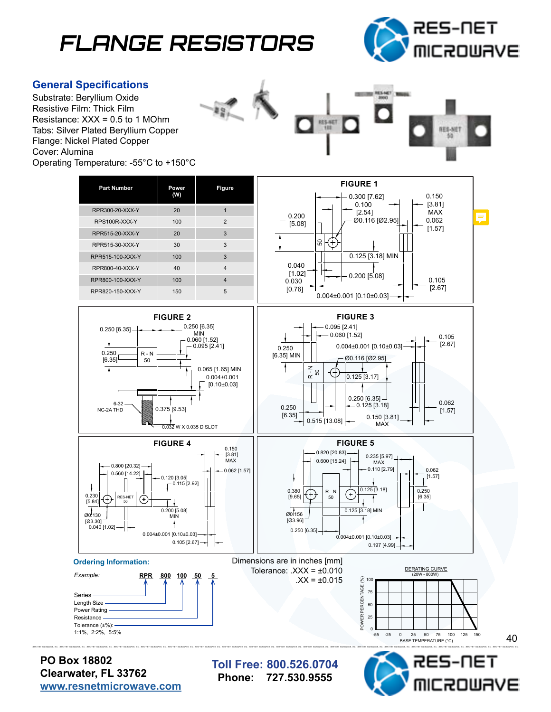## **FLANGE RESISTORS**



OWAVE

## **General Specifications**

Substrate: Beryllium Oxide Resistive Film: Thick Film Resistance: XXX = 0.5 to 1 MOhm Tabs: Silver Plated Beryllium Copper Flange: Nickel Plated Copper Cover: Alumina Operating Temperature: -55°C to +150°C





**Clearwater, FL 33762 [www.resnetmicrowave.com](http://www.resnetmicrowave.com)** **Phone: 727.530.9555**